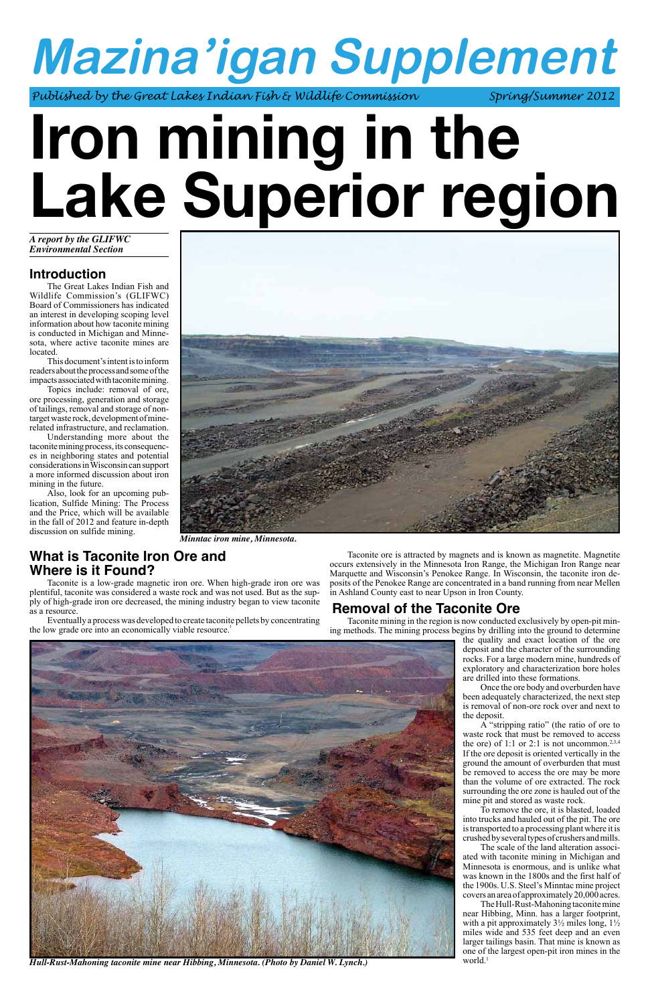# **Mazina'igan Supplement**

Published by the Great Lakes Indian Fish & Wildlife Commission Spring/Summer 2012

# **Iron mining in the Lake Superior region**

# **Introduction**

The Great Lakes Indian Fish and Wildlife Commission's (GLIFWC) Board of Commissioners has indicated an interest in developing scoping level information about how taconite mining is conducted in Michigan and Minnesota, where active taconite mines are located.

This document's intent is to inform readers about the process and some of the impacts associated with taconite mining.

Topics include: removal of ore, ore processing, generation and storage of tailings, removal and storage of nontarget waste rock, development of minerelated infrastructure, and reclamation.

Eventually a process was developed to create taconite pellets by concentrating the low grade ore into an economically viable resource.<sup>1</sup>

Understanding more about the taconite mining process, its consequences in neighboring states and potential considerations in Wisconsin can support a more informed discussion about iron mining in the future.

Also, look for an upcoming publication, Sulfide Mining: The Process and the Price, which will be available in the fall of 2012 and feature in-depth discussion on sulfide mining. *Minntac iron mine, Minnesota.*



# **What is Taconite Iron Ore and Where is it Found?**

Taconite is a low-grade magnetic iron ore. When high-grade iron ore was plentiful, taconite was considered a waste rock and was not used. But as the supply of high-grade iron ore decreased, the mining industry began to view taconite as a resource.

Taconite ore is attracted by magnets and is known as magnetite. Magnetite occurs extensively in the Minnesota Iron Range, the Michigan Iron Range near Marquette and Wisconsin's Penokee Range. In Wisconsin, the taconite iron deposits of the Penokee Range are concentrated in a band running from near Mellen in Ashland County east to near Upson in Iron County.

# **Removal of the Taconite Ore**

Taconite mining in the region is now conducted exclusively by open-pit mining methods. The mining process begins by drilling into the ground to determine

the quality and exact location of the ore deposit and the character of the surrounding rocks. For a large modern mine, hundreds of exploratory and characterization bore holes are drilled into these formations. Once the ore body and overburden have been adequately characterized, the next step

is removal of non-ore rock over and next to the deposit. A "stripping ratio" (the ratio of ore to waste rock that must be removed to access the ore) of 1:1 or 2:1 is not uncommon.<sup>2,3,4</sup> If the ore deposit is oriented vertically in the ground the amount of overburden that must be removed to access the ore may be more than the volume of ore extracted. The rock surrounding the ore zone is hauled out of the mine pit and stored as waste rock. To remove the ore, it is blasted, loaded into trucks and hauled out of the pit. The ore is transported to a processing plant where it is crushed by several types of crushers and mills. The scale of the land alteration associated with taconite mining in Michigan and Minnesota is enormous, and is unlike what was known in the 1800s and the first half of the 1900s. U.S. Steel's Minntac mine project covers an area of approximately 20,000 acres. The Hull-Rust-Mahoning taconite mine near Hibbing, Minn. has a larger footprint, with a pit approximately  $3\frac{1}{2}$  miles long,  $1\frac{1}{2}$ miles wide and 535 feet deep and an even larger tailings basin. That mine is known as one of the largest open-pit iron mines in the



*Hull-Rust-Mahoning taconite mine near Hibbing, Minnesota. (Photo by Daniel W. Lynch.)* world.<sup>1</sup>

*A report by the GLIFWC Environmental Section*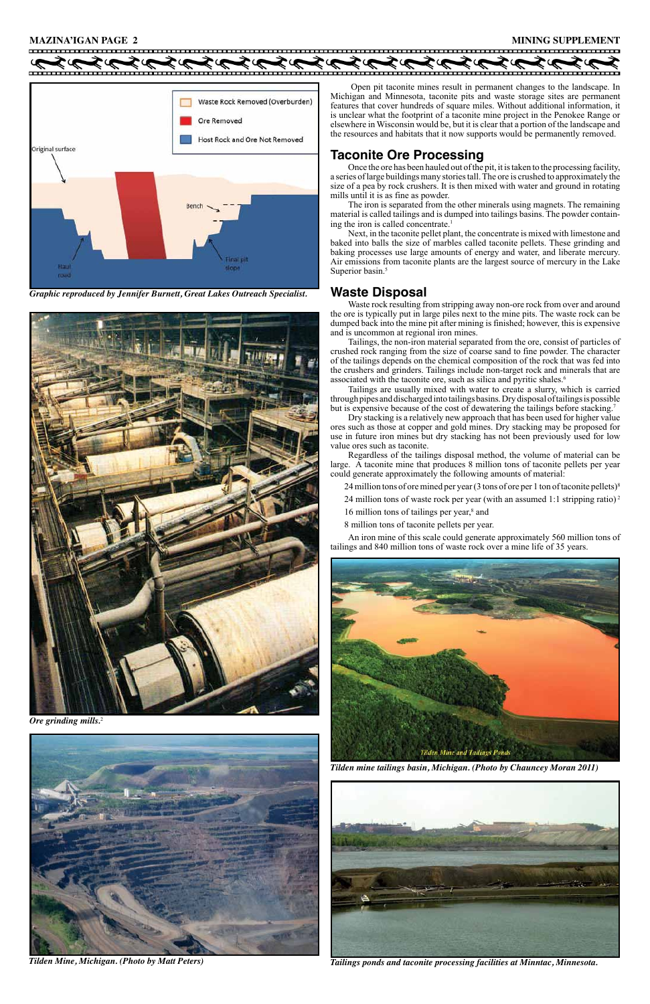#### **MAZINA'IGAN PAGE 2 MINING SUPPLEMENT**

Waste Rock Removed (Overburden) Ore Removed Host Rock and Ore Not Removed Original surface inal pit Hau slope rmad

 Open pit taconite mines result in permanent changes to the landscape. In Michigan and Minnesota, taconite pits and waste storage sites are permanent features that cover hundreds of square miles. Without additional information, it is unclear what the footprint of a taconite mine project in the Penokee Range or elsewhere in Wisconsin would be, but it is clear that a portion of the landscape and the resources and habitats that it now supports would be permanently removed.

The iron is separated from the other minerals using magnets. The remaining material is called tailings and is dumped into tailings basins. The powder containing the iron is called concentrate.<sup>1</sup>

Next, in the taconite pellet plant, the concentrate is mixed with limestone and baked into balls the size of marbles called taconite pellets. These grinding and baking processes use large amounts of energy and water, and liberate mercury. Air emissions from taconite plants are the largest source of mercury in the Lake Superior basin.<sup>5</sup>

### **Taconite Ore Processing**

Once the ore has been hauled out of the pit, it is taken to the processing facility, a series of large buildings many stories tall. The ore is crushed to approximately the size of a pea by rock crushers. It is then mixed with water and ground in rotating mills until it is as fine as powder.

Tailings, the non-iron material separated from the ore, consist of particles of crushed rock ranging from the size of coarse sand to fine powder. The character of the tailings depends on the chemical composition of the rock that was fed into the crushers and grinders. Tailings include non-target rock and minerals that are associated with the taconite ore, such as silica and pyritic shales.<sup>6</sup>

Tailings are usually mixed with water to create a slurry, which is carried through pipes and discharged into tailings basins. Dry disposal of tailings is possible but is expensive because of the cost of dewatering the tailings before stacking.<sup>7</sup>

## **Waste Disposal**

Waste rock resulting from stripping away non-ore rock from over and around the ore is typically put in large piles next to the mine pits. The waste rock can be dumped back into the mine pit after mining is finished; however, this is expensive and is uncommon at regional iron mines.

Dry stacking is a relatively new approach that has been used for higher value ores such as those at copper and gold mines. Dry stacking may be proposed for use in future iron mines but dry stacking has not been previously used for low value ores such as taconite.

Regardless of the tailings disposal method, the volume of material can be large. A taconite mine that produces 8 million tons of taconite pellets per year could generate approximately the following amounts of material:

24 million tons of ore mined per year (3 tons of ore per 1 ton of taconite pellets)<sup>8</sup>

24 million tons of waste rock per year (with an assumed 1:1 stripping ratio)<sup>2</sup>

16 million tons of tailings per year,<sup>8</sup> and

8 million tons of taconite pellets per year.

An iron mine of this scale could generate approximately 560 million tons of tailings and 840 million tons of waste rock over a mine life of 35 years.





#### **Tilden Mine and Tailings Ponds**

*Ore grinding mills.*<sup>2</sup>

*Graphic reproduced by Jennifer Burnett, Great Lakes Outreach Specialist.*





*Tilden Mine, Michigan. (Photo by Matt Peters) Tailings ponds and taconite processing facilities at Minntac, Minnesota.*

#### *Tilden mine tailings basin, Michigan. (Photo by Chauncey Moran 2011)*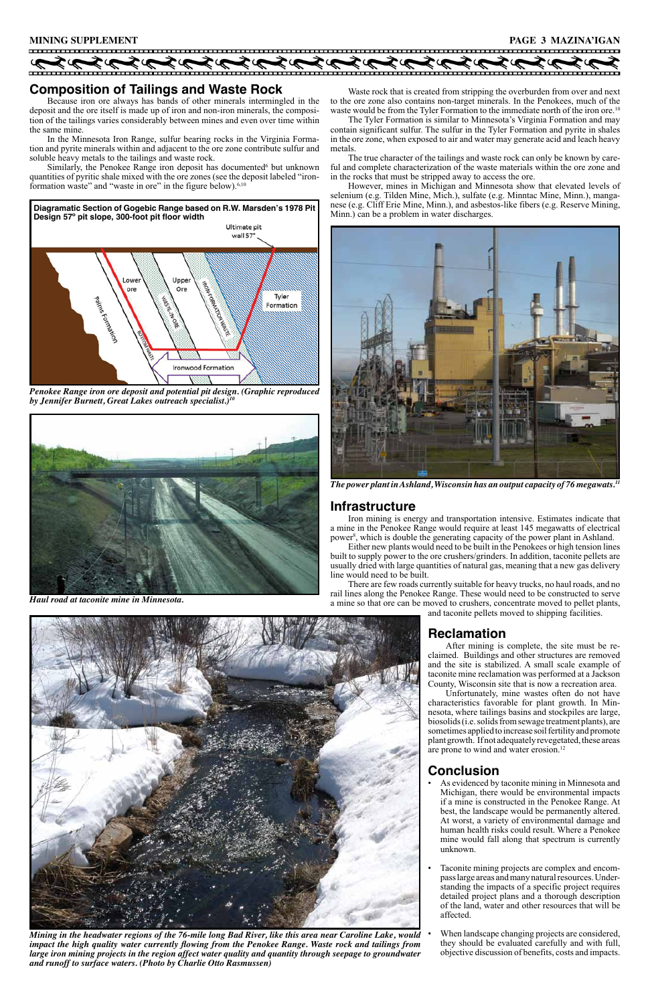Iron mining is energy and transportation intensive. Estimates indicate that a mine in the Penokee Range would require at least 145 megawatts of electrical power<sup>8</sup>, which is double the generating capacity of the power plant in Ashland.

### **Infrastructure**

Either new plants would need to be built in the Penokees or high tension lines built to supply power to the ore crushers/grinders. In addition, taconite pellets are usually dried with large quantities of natural gas, meaning that a new gas delivery line would need to be built.

> Unfortunately, mine wastes often do not have characteristics favorable for plant growth. In Minnesota, where tailings basins and stockpiles are large, biosolids (i.e. solids from sewage treatment plants), are sometimes applied to increase soil fertility and promote plant growth. If not adequately revegetated, these areas are prone to wind and water erosion.<sup>12</sup>

There are few roads currently suitable for heavy trucks, no haul roads, and no rail lines along the Penokee Range. These would need to be constructed to serve a mine so that ore can be moved to crushers, concentrate moved to pellet plants, and taconite pellets moved to shipping facilities.



# **Reclamation**

After mining is complete, the site must be reclaimed. Buildings and other structures are removed and the site is stabilized. A small scale example of taconite mine reclamation was performed at a Jackson County, Wisconsin site that is now a recreation area.

- As evidenced by taconite mining in Minnesota and Michigan, there would be environmental impacts if a mine is constructed in the Penokee Range. At best, the landscape would be permanently altered. At worst, a variety of environmental damage and human health risks could result. Where a Penokee mine would fall along that spectrum is currently unknown.
- Taconite mining projects are complex and encompass large areas and many natural resources. Understanding the impacts of a specific project requires detailed project plans and a thorough description of the land, water and other resources that will be affected.
- When landscape changing projects are considered, they should be evaluated carefully and with full, objective discussion of benefits, costs and impacts.

# **Conclusion**

Waste rock that is created from stripping the overburden from over and next to the ore zone also contains non-target minerals. In the Penokees, much of the waste would be from the Tyler Formation to the immediate north of the iron ore.<sup>10</sup>

# **Composition of Tailings and Waste Rock**

Because iron ore always has bands of other minerals intermingled in the deposit and the ore itself is made up of iron and non-iron minerals, the composition of the tailings varies considerably between mines and even over time within the same mine.

In the Minnesota Iron Range, sulfur bearing rocks in the Virginia Formation and pyrite minerals within and adjacent to the ore zone contribute sulfur and soluble heavy metals to the tailings and waste rock.

Similarly, the Penokee Range iron deposit has documented<sup>6</sup> but unknown quantities of pyritic shale mixed with the ore zones (see the deposit labeled "ironformation waste" and "waste in ore" in the figure below).<sup>6,10</sup>



*The power plant in Ashland, Wisconsin has an output capacity of 76 megawats.11*



*Penokee Range iron ore deposit and potential pit design. (Graphic reproduced by Jennifer Burnett, Great Lakes outreach specialist.)10*



*Haul road at taconite mine in Minnesota.*

The Tyler Formation is similar to Minnesota's Virginia Formation and may contain significant sulfur. The sulfur in the Tyler Formation and pyrite in shales in the ore zone, when exposed to air and water may generate acid and leach heavy metals.

The true character of the tailings and waste rock can only be known by careful and complete characterization of the waste materials within the ore zone and in the rocks that must be stripped away to access the ore.

However, mines in Michigan and Minnesota show that elevated levels of selenium (e.g. Tilden Mine, Mich.), sulfate (e.g. Minntac Mine, Minn.), manganese (e.g. Cliff Erie Mine, Minn.), and asbestos-like fibers (e.g. Reserve Mining, Minn.) can be a problem in water discharges.

*Mining in the headwater regions of the 76-mile long Bad River, like this area near Caroline Lake, would impact the high quality water currently flowing from the Penokee Range. Waste rock and tailings from large iron mining projects in the region affect water quality and quantity through seepage to groundwater and runoff to surface waters. (Photo by Charlie Otto Rasmussen)*